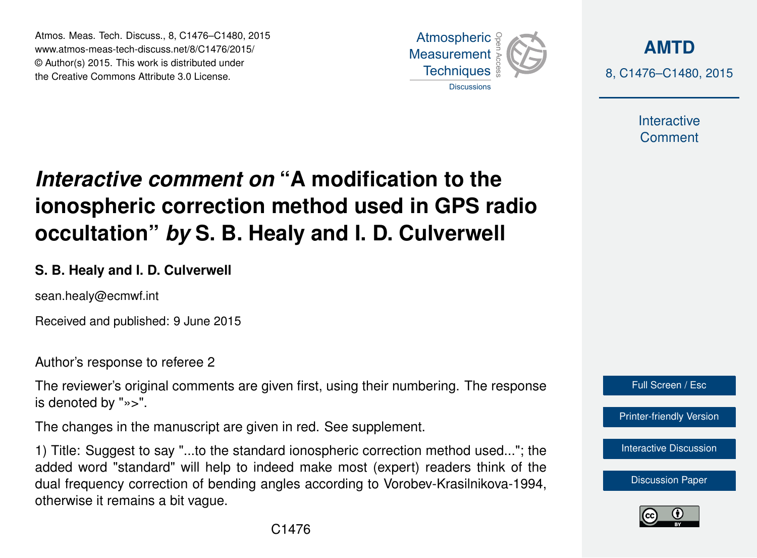Atmos. Meas. Tech. Discuss., 8, C1476–C1480, 2015 www.atmos-meas-tech-discuss.net/8/C1476/2015/ © Author(s) 2015. This work is distributed under the Creative Commons Attribute 3.0 License.



**[AMTD](http://www.atmos-meas-tech-discuss.net)** 8, C1476–C1480, 2015

> Interactive **Comment**

## *Interactive comment on* **"A modification to the ionospheric correction method used in GPS radio occultation"** *by* **S. B. Healy and I. D. Culverwell**

## **S. B. Healy and I. D. Culverwell**

sean.healy@ecmwf.int

Received and published: 9 June 2015

Author's response to referee 2

The reviewer's original comments are given first, using their numbering. The response is denoted by "»>".

The changes in the manuscript are given in red. See supplement.

1) Title: Suggest to say "...to the standard ionospheric correction method used..."; the added word "standard" will help to indeed make most (expert) readers think of the dual frequency correction of bending angles according to Vorobev-Krasilnikova-1994, otherwise it remains a bit vague.



[Printer-friendly Version](http://www.atmos-meas-tech-discuss.net/8/C1476/2015/amtd-8-C1476-2015-print.pdf)

[Interactive Discussion](http://www.atmos-meas-tech-discuss.net/8/1177/2015/amtd-8-1177-2015-discussion.html)

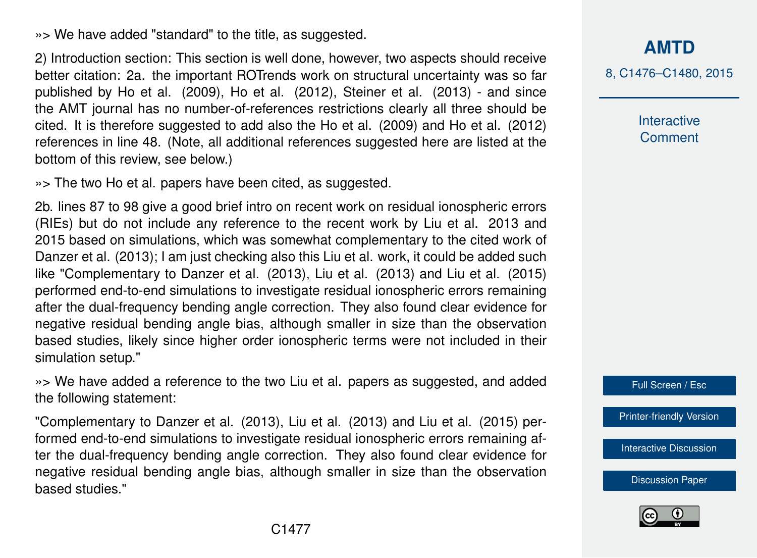»> We have added "standard" to the title, as suggested.

2) Introduction section: This section is well done, however, two aspects should receive better citation: 2a. the important ROTrends work on structural uncertainty was so far published by Ho et al. (2009), Ho et al. (2012), Steiner et al. (2013) - and since the AMT journal has no number-of-references restrictions clearly all three should be cited. It is therefore suggested to add also the Ho et al. (2009) and Ho et al. (2012) references in line 48. (Note, all additional references suggested here are listed at the bottom of this review, see below.)

»> The two Ho et al. papers have been cited, as suggested.

2b. lines 87 to 98 give a good brief intro on recent work on residual ionospheric errors (RIEs) but do not include any reference to the recent work by Liu et al. 2013 and 2015 based on simulations, which was somewhat complementary to the cited work of Danzer et al. (2013); I am just checking also this Liu et al. work, it could be added such like "Complementary to Danzer et al. (2013), Liu et al. (2013) and Liu et al. (2015) performed end-to-end simulations to investigate residual ionospheric errors remaining after the dual-frequency bending angle correction. They also found clear evidence for negative residual bending angle bias, although smaller in size than the observation based studies, likely since higher order ionospheric terms were not included in their simulation setup."

»> We have added a reference to the two Liu et al. papers as suggested, and added the following statement:

"Complementary to Danzer et al. (2013), Liu et al. (2013) and Liu et al. (2015) performed end-to-end simulations to investigate residual ionospheric errors remaining after the dual-frequency bending angle correction. They also found clear evidence for negative residual bending angle bias, although smaller in size than the observation based studies."

**[AMTD](http://www.atmos-meas-tech-discuss.net)**

8, C1476–C1480, 2015

**Interactive Comment** 

Full Screen / Esc

[Printer-friendly Version](http://www.atmos-meas-tech-discuss.net/8/C1476/2015/amtd-8-C1476-2015-print.pdf)

[Interactive Discussion](http://www.atmos-meas-tech-discuss.net/8/1177/2015/amtd-8-1177-2015-discussion.html)

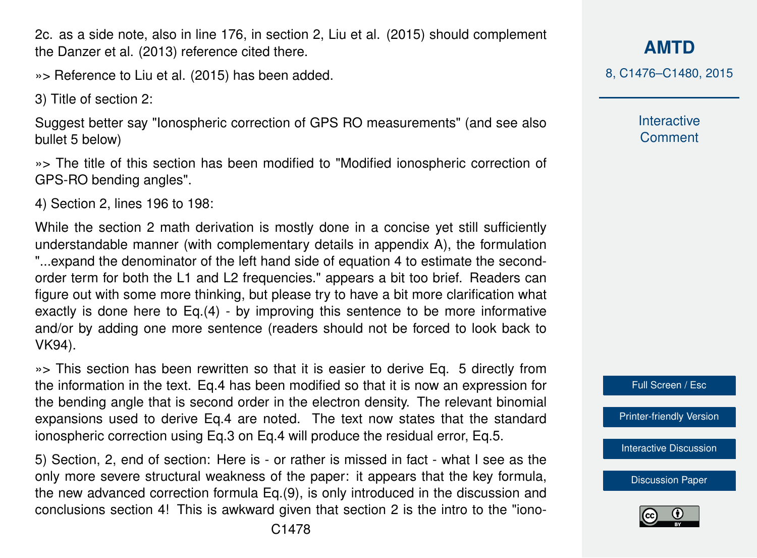C1478

2c. as a side note, also in line 176, in section 2, Liu et al. (2015) should complement the Danzer et al. (2013) reference cited there.

»> Reference to Liu et al. (2015) has been added.

3) Title of section 2:

Suggest better say "Ionospheric correction of GPS RO measurements" (and see also bullet 5 below)

»> The title of this section has been modified to "Modified ionospheric correction of GPS-RO bending angles".

4) Section 2, lines 196 to 198:

While the section 2 math derivation is mostly done in a concise yet still sufficiently understandable manner (with complementary details in appendix A), the formulation "...expand the denominator of the left hand side of equation 4 to estimate the secondorder term for both the L1 and L2 frequencies." appears a bit too brief. Readers can figure out with some more thinking, but please try to have a bit more clarification what exactly is done here to Eq.(4) - by improving this sentence to be more informative and/or by adding one more sentence (readers should not be forced to look back to VK94).

»> This section has been rewritten so that it is easier to derive Eq. 5 directly from the information in the text. Eq.4 has been modified so that it is now an expression for the bending angle that is second order in the electron density. The relevant binomial expansions used to derive Eq.4 are noted. The text now states that the standard ionospheric correction using Eq.3 on Eq.4 will produce the residual error, Eq.5.

5) Section, 2, end of section: Here is - or rather is missed in fact - what I see as the only more severe structural weakness of the paper: it appears that the key formula, the new advanced correction formula Eq.(9), is only introduced in the discussion and conclusions section 4! This is awkward given that section 2 is the intro to the "iono**[AMTD](http://www.atmos-meas-tech-discuss.net)**

8, C1476–C1480, 2015

Interactive **Comment** 



[Printer-friendly Version](http://www.atmos-meas-tech-discuss.net/8/C1476/2015/amtd-8-C1476-2015-print.pdf)

[Interactive Discussion](http://www.atmos-meas-tech-discuss.net/8/1177/2015/amtd-8-1177-2015-discussion.html)

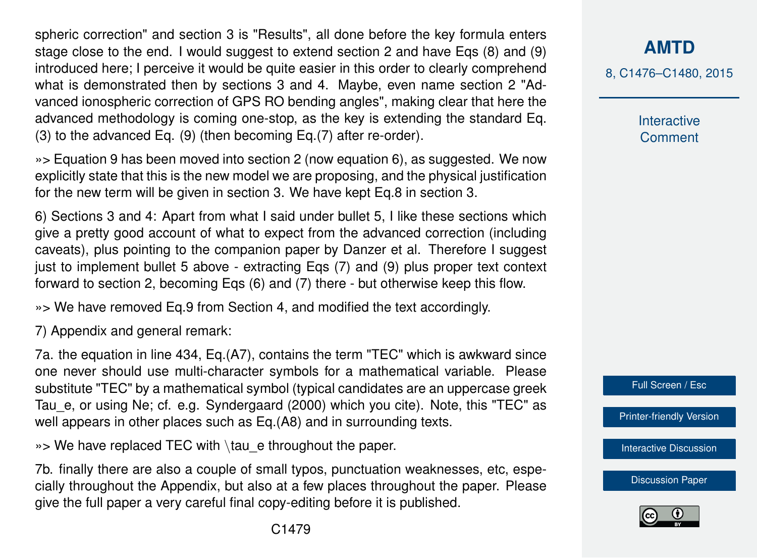spheric correction" and section 3 is "Results", all done before the key formula enters stage close to the end. I would suggest to extend section 2 and have Eqs (8) and (9) introduced here; I perceive it would be quite easier in this order to clearly comprehend what is demonstrated then by sections 3 and 4. Maybe, even name section 2 "Advanced ionospheric correction of GPS RO bending angles", making clear that here the advanced methodology is coming one-stop, as the key is extending the standard Eq. (3) to the advanced Eq. (9) (then becoming Eq.(7) after re-order).

»> Equation 9 has been moved into section 2 (now equation 6), as suggested. We now explicitly state that this is the new model we are proposing, and the physical justification for the new term will be given in section 3. We have kept Eq.8 in section 3.

6) Sections 3 and 4: Apart from what I said under bullet 5, I like these sections which give a pretty good account of what to expect from the advanced correction (including caveats), plus pointing to the companion paper by Danzer et al. Therefore I suggest just to implement bullet 5 above - extracting Eqs (7) and (9) plus proper text context forward to section 2, becoming Eqs (6) and (7) there - but otherwise keep this flow.

»> We have removed Eq.9 from Section 4, and modified the text accordingly.

7) Appendix and general remark:

7a. the equation in line 434, Eq.(A7), contains the term "TEC" which is awkward since one never should use multi-character symbols for a mathematical variable. Please substitute "TEC" by a mathematical symbol (typical candidates are an uppercase greek Tau\_e, or using Ne; cf. e.g. Syndergaard (2000) which you cite). Note, this "TEC" as well appears in other places such as Eq.(A8) and in surrounding texts.

»> We have replaced TEC with \tau e throughout the paper.

7b. finally there are also a couple of small typos, punctuation weaknesses, etc, especially throughout the Appendix, but also at a few places throughout the paper. Please give the full paper a very careful final copy-editing before it is published.

**[AMTD](http://www.atmos-meas-tech-discuss.net)**

8, C1476–C1480, 2015

Interactive **Comment** 



[Printer-friendly Version](http://www.atmos-meas-tech-discuss.net/8/C1476/2015/amtd-8-C1476-2015-print.pdf)

[Interactive Discussion](http://www.atmos-meas-tech-discuss.net/8/1177/2015/amtd-8-1177-2015-discussion.html)